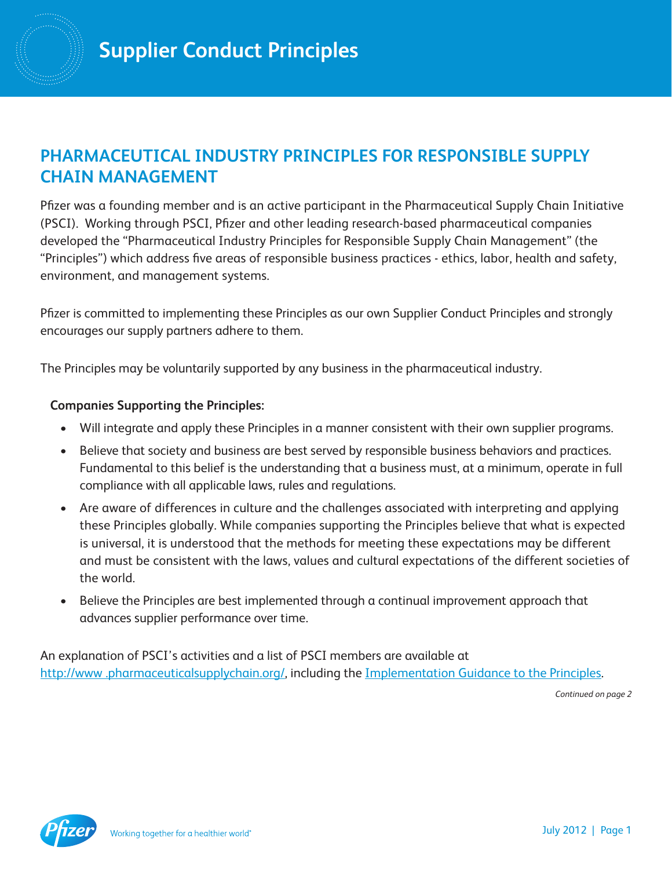## **PHARMACEUTICAL INDUSTRY PRINCIPLES FOR RESPONSIBLE SUPPLY CHAIN MANAGEMENT**

Pfizer was a founding member and is an active participant in the Pharmaceutical Supply Chain Initiative (PSCI). Working through PSCI, Pfizer and other leading research-based pharmaceutical companies developed the "Pharmaceutical Industry Principles for Responsible Supply Chain Management" (the "Principles") which address five areas of responsible business practices - ethics, labor, health and safety, environment, and management systems.

Pfizer is committed to implementing these Principles as our own Supplier Conduct Principles and strongly encourages our supply partners adhere to them.

The Principles may be voluntarily supported by any business in the pharmaceutical industry.

#### **Companies Supporting the Principles:**

- Will integrate and apply these Principles in a manner consistent with their own supplier programs.
- Believe that society and business are best served by responsible business behaviors and practices. Fundamental to this belief is the understanding that a business must, at a minimum, operate in full compliance with all applicable laws, rules and regulations.
- Are aware of differences in culture and the challenges associated with interpreting and applying these Principles globally. While companies supporting the Principles believe that what is expected is universal, it is understood that the methods for meeting these expectations may be different and must be consistent with the laws, values and cultural expectations of the different societies of the world.
- Believe the Principles are best implemented through a continual improvement approach that advances supplier performance over time.

An explanation of PSCI's activities and a list of PSCI members are available at http://www.pharmaceuticalsupplychain.org/, including the [Implementation Guidance to the Principles.](http://www.pharmaceuticalsupplychain.org/downloads/psci_guidance.pdf)

*Continued on page 2*

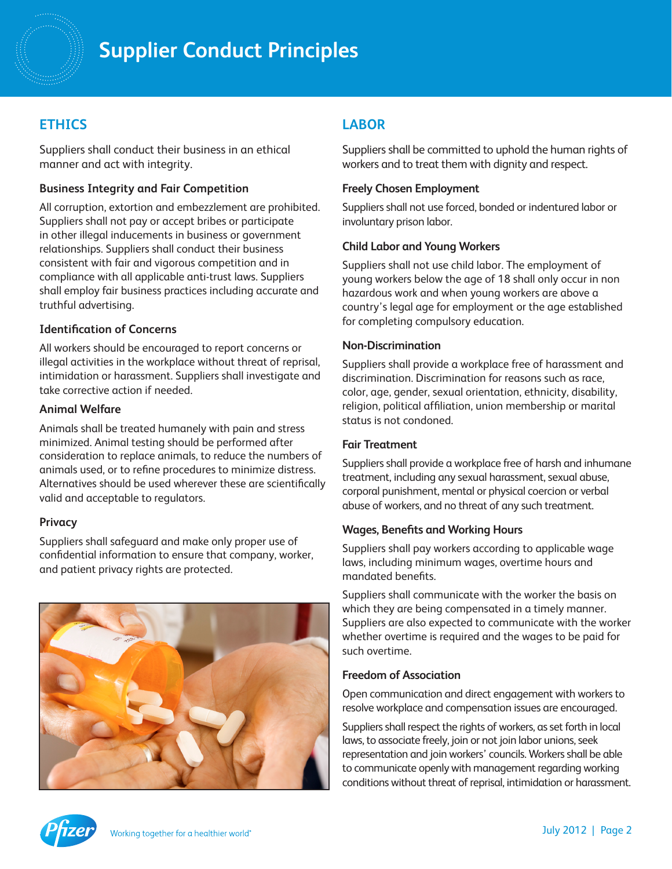# **Supplier Conduct Principles**

## **ETHICS**

Suppliers shall conduct their business in an ethical manner and act with integrity.

#### **Business Integrity and Fair Competition**

All corruption, extortion and embezzlement are prohibited. Suppliers shall not pay or accept bribes or participate in other illegal inducements in business or government relationships. Suppliers shall conduct their business consistent with fair and vigorous competition and in compliance with all applicable anti-trust laws. Suppliers shall employ fair business practices including accurate and truthful advertising.

#### **Identification of Concerns**

All workers should be encouraged to report concerns or illegal activities in the workplace without threat of reprisal, intimidation or harassment. Suppliers shall investigate and take corrective action if needed.

#### **Animal Welfare**

Animals shall be treated humanely with pain and stress minimized. Animal testing should be performed after consideration to replace animals, to reduce the numbers of animals used, or to refine procedures to minimize distress. Alternatives should be used wherever these are scientifically valid and acceptable to regulators.

#### **Privacy**

Suppliers shall safeguard and make only proper use of confidential information to ensure that company, worker, and patient privacy rights are protected.



## **LABOR**

Suppliers shall be committed to uphold the human rights of workers and to treat them with dignity and respect.

#### **Freely Chosen Employment**

Suppliers shall not use forced, bonded or indentured labor or involuntary prison labor.

#### **Child Labor and Young Workers**

Suppliers shall not use child labor. The employment of young workers below the age of 18 shall only occur in non hazardous work and when young workers are above a country's legal age for employment or the age established for completing compulsory education.

#### **Non-Discrimination**

Suppliers shall provide a workplace free of harassment and discrimination. Discrimination for reasons such as race, color, age, gender, sexual orientation, ethnicity, disability, religion, political affiliation, union membership or marital status is not condoned.

#### **Fair Treatment**

Suppliers shall provide a workplace free of harsh and inhumane treatment, including any sexual harassment, sexual abuse, corporal punishment, mental or physical coercion or verbal abuse of workers, and no threat of any such treatment.

#### **Wages, Benefits and Working Hours**

Suppliers shall pay workers according to applicable wage laws, including minimum wages, overtime hours and mandated benefits.

Suppliers shall communicate with the worker the basis on which they are being compensated in a timely manner. Suppliers are also expected to communicate with the worker whether overtime is required and the wages to be paid for such overtime.

#### **Freedom of Association**

Open communication and direct engagement with workers to resolve workplace and compensation issues are encouraged.

Suppliers shall respect the rights of workers, as set forth in local laws, to associate freely, join or not join labor unions, seek representation and join workers' councils. Workers shall be able to communicate openly with management regarding working conditions without threat of reprisal, intimidation or harassment.

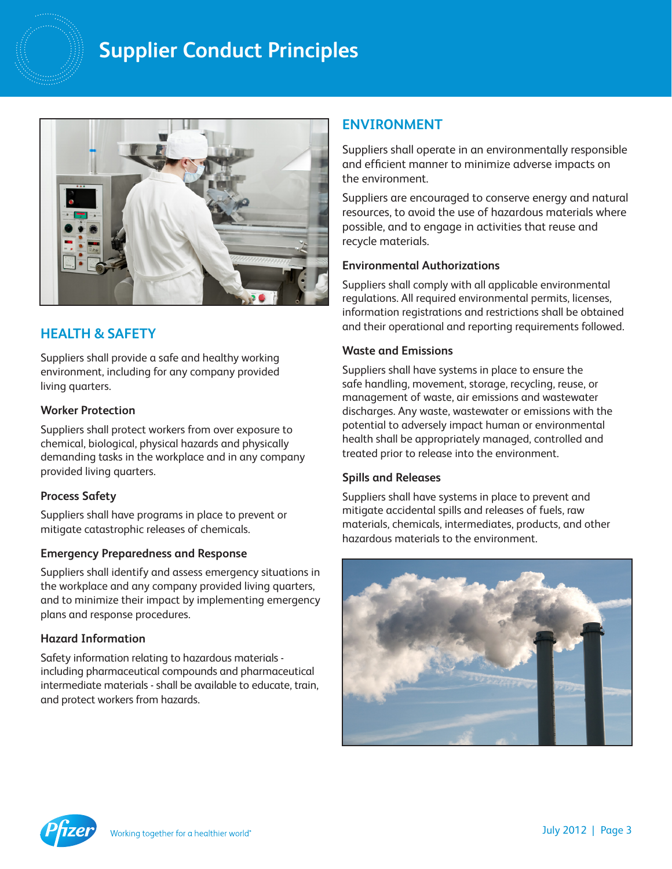## **Supplier Conduct Principles**



### **HEALTH & SAFETY**

Suppliers shall provide a safe and healthy working environment, including for any company provided living quarters.

#### **Worker Protection**

Suppliers shall protect workers from over exposure to chemical, biological, physical hazards and physically demanding tasks in the workplace and in any company provided living quarters.

#### **Process Safety**

Suppliers shall have programs in place to prevent or mitigate catastrophic releases of chemicals.

#### **Emergency Preparedness and Response**

Suppliers shall identify and assess emergency situations in the workplace and any company provided living quarters, and to minimize their impact by implementing emergency plans and response procedures.

#### **Hazard Information**

Safety information relating to hazardous materials including pharmaceutical compounds and pharmaceutical intermediate materials - shall be available to educate, train, and protect workers from hazards.

## **ENVIRONMENT**

Suppliers shall operate in an environmentally responsible and efficient manner to minimize adverse impacts on the environment.

Suppliers are encouraged to conserve energy and natural resources, to avoid the use of hazardous materials where possible, and to engage in activities that reuse and recycle materials.

#### **Environmental Authorizations**

Suppliers shall comply with all applicable environmental regulations. All required environmental permits, licenses, information registrations and restrictions shall be obtained and their operational and reporting requirements followed.

#### **Waste and Emissions**

Suppliers shall have systems in place to ensure the safe handling, movement, storage, recycling, reuse, or management of waste, air emissions and wastewater discharges. Any waste, wastewater or emissions with the potential to adversely impact human or environmental health shall be appropriately managed, controlled and treated prior to release into the environment.

#### **Spills and Releases**

Suppliers shall have systems in place to prevent and mitigate accidental spills and releases of fuels, raw materials, chemicals, intermediates, products, and other hazardous materials to the environment.